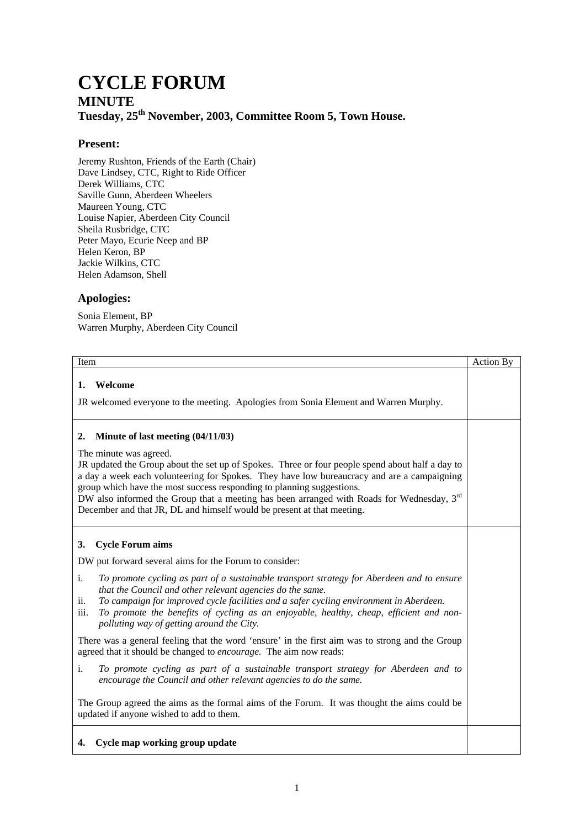## **CYCLE FORUM MINUTE Tuesday, 25th November, 2003, Committee Room 5, Town House.**

## **Present:**

Jeremy Rushton, Friends of the Earth (Chair) Dave Lindsey, CTC, Right to Ride Officer Derek Williams, CTC Saville Gunn, Aberdeen Wheelers Maureen Young, CTC Louise Napier, Aberdeen City Council Sheila Rusbridge, CTC Peter Mayo, Ecurie Neep and BP Helen Keron, BP Jackie Wilkins, CTC Helen Adamson, Shell

## **Apologies:**

Sonia Element, BP Warren Murphy, Aberdeen City Council

| Item                                                                                                                                                                                                                                                                                                                                                                                                                                                                                                                   | Action By |
|------------------------------------------------------------------------------------------------------------------------------------------------------------------------------------------------------------------------------------------------------------------------------------------------------------------------------------------------------------------------------------------------------------------------------------------------------------------------------------------------------------------------|-----------|
| Welcome<br>1.<br>JR welcomed everyone to the meeting. Apologies from Sonia Element and Warren Murphy.                                                                                                                                                                                                                                                                                                                                                                                                                  |           |
| Minute of last meeting $(04/11/03)$<br>2.<br>The minute was agreed.<br>JR updated the Group about the set up of Spokes. Three or four people spend about half a day to<br>a day a week each volunteering for Spokes. They have low bureaucracy and are a campaigning<br>group which have the most success responding to planning suggestions.<br>DW also informed the Group that a meeting has been arranged with Roads for Wednesday, $3rd$<br>December and that JR, DL and himself would be present at that meeting. |           |
| <b>Cycle Forum aims</b><br>3.                                                                                                                                                                                                                                                                                                                                                                                                                                                                                          |           |
| DW put forward several aims for the Forum to consider:                                                                                                                                                                                                                                                                                                                                                                                                                                                                 |           |
| To promote cycling as part of a sustainable transport strategy for Aberdeen and to ensure<br>i.<br>that the Council and other relevant agencies do the same.<br>To campaign for improved cycle facilities and a safer cycling environment in Aberdeen.<br>ii.<br>To promote the benefits of cycling as an enjoyable, healthy, cheap, efficient and non-<br>iii.<br>polluting way of getting around the City.                                                                                                           |           |
| There was a general feeling that the word 'ensure' in the first aim was to strong and the Group<br>agreed that it should be changed to encourage. The aim now reads:                                                                                                                                                                                                                                                                                                                                                   |           |
| i.<br>To promote cycling as part of a sustainable transport strategy for Aberdeen and to<br>encourage the Council and other relevant agencies to do the same.                                                                                                                                                                                                                                                                                                                                                          |           |
| The Group agreed the aims as the formal aims of the Forum. It was thought the aims could be<br>updated if anyone wished to add to them.                                                                                                                                                                                                                                                                                                                                                                                |           |
| Cycle map working group update<br>4.                                                                                                                                                                                                                                                                                                                                                                                                                                                                                   |           |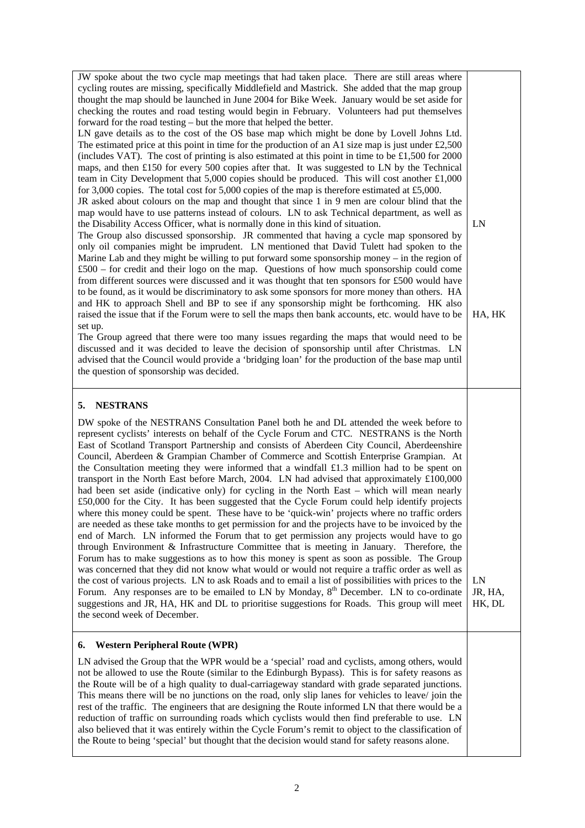| JW spoke about the two cycle map meetings that had taken place. There are still areas where                                                                                                                                                                                                                                                                                                                                                                                                                                                                                                                                                                                                                                                                                                                                                                                                                                                                                                                                                                                                                                                                                                                                                                                                                                                                                                                                                                                                                                                                                                                                                                                                                              |                         |
|--------------------------------------------------------------------------------------------------------------------------------------------------------------------------------------------------------------------------------------------------------------------------------------------------------------------------------------------------------------------------------------------------------------------------------------------------------------------------------------------------------------------------------------------------------------------------------------------------------------------------------------------------------------------------------------------------------------------------------------------------------------------------------------------------------------------------------------------------------------------------------------------------------------------------------------------------------------------------------------------------------------------------------------------------------------------------------------------------------------------------------------------------------------------------------------------------------------------------------------------------------------------------------------------------------------------------------------------------------------------------------------------------------------------------------------------------------------------------------------------------------------------------------------------------------------------------------------------------------------------------------------------------------------------------------------------------------------------------|-------------------------|
| cycling routes are missing, specifically Middlefield and Mastrick. She added that the map group<br>thought the map should be launched in June 2004 for Bike Week. January would be set aside for                                                                                                                                                                                                                                                                                                                                                                                                                                                                                                                                                                                                                                                                                                                                                                                                                                                                                                                                                                                                                                                                                                                                                                                                                                                                                                                                                                                                                                                                                                                         |                         |
| checking the routes and road testing would begin in February. Volunteers had put themselves<br>forward for the road testing – but the more that helped the better.                                                                                                                                                                                                                                                                                                                                                                                                                                                                                                                                                                                                                                                                                                                                                                                                                                                                                                                                                                                                                                                                                                                                                                                                                                                                                                                                                                                                                                                                                                                                                       |                         |
| LN gave details as to the cost of the OS base map which might be done by Lovell Johns Ltd.<br>The estimated price at this point in time for the production of an A1 size map is just under £2,500                                                                                                                                                                                                                                                                                                                                                                                                                                                                                                                                                                                                                                                                                                                                                                                                                                                                                                                                                                                                                                                                                                                                                                                                                                                                                                                                                                                                                                                                                                                        |                         |
| (includes VAT). The cost of printing is also estimated at this point in time to be £1,500 for 2000<br>maps, and then £150 for every 500 copies after that. It was suggested to LN by the Technical<br>team in City Development that 5,000 copies should be produced. This will cost another $£1,000$                                                                                                                                                                                                                                                                                                                                                                                                                                                                                                                                                                                                                                                                                                                                                                                                                                                                                                                                                                                                                                                                                                                                                                                                                                                                                                                                                                                                                     |                         |
| for 3,000 copies. The total cost for 5,000 copies of the map is therefore estimated at £5,000.<br>JR asked about colours on the map and thought that since 1 in 9 men are colour blind that the                                                                                                                                                                                                                                                                                                                                                                                                                                                                                                                                                                                                                                                                                                                                                                                                                                                                                                                                                                                                                                                                                                                                                                                                                                                                                                                                                                                                                                                                                                                          |                         |
| map would have to use patterns instead of colours. LN to ask Technical department, as well as<br>the Disability Access Officer, what is normally done in this kind of situation.                                                                                                                                                                                                                                                                                                                                                                                                                                                                                                                                                                                                                                                                                                                                                                                                                                                                                                                                                                                                                                                                                                                                                                                                                                                                                                                                                                                                                                                                                                                                         | LN                      |
| The Group also discussed sponsorship. JR commented that having a cycle map sponsored by<br>only oil companies might be imprudent. LN mentioned that David Tulett had spoken to the<br>Marine Lab and they might be willing to put forward some sponsorship money – in the region of<br>£500 – for credit and their logo on the map. Questions of how much sponsorship could come                                                                                                                                                                                                                                                                                                                                                                                                                                                                                                                                                                                                                                                                                                                                                                                                                                                                                                                                                                                                                                                                                                                                                                                                                                                                                                                                         |                         |
| from different sources were discussed and it was thought that ten sponsors for £500 would have<br>to be found, as it would be discriminatory to ask some sponsors for more money than others. HA<br>and HK to approach Shell and BP to see if any sponsorship might be forthcoming. HK also                                                                                                                                                                                                                                                                                                                                                                                                                                                                                                                                                                                                                                                                                                                                                                                                                                                                                                                                                                                                                                                                                                                                                                                                                                                                                                                                                                                                                              |                         |
| raised the issue that if the Forum were to sell the maps then bank accounts, etc. would have to be<br>set up.                                                                                                                                                                                                                                                                                                                                                                                                                                                                                                                                                                                                                                                                                                                                                                                                                                                                                                                                                                                                                                                                                                                                                                                                                                                                                                                                                                                                                                                                                                                                                                                                            | HA, HK                  |
| The Group agreed that there were too many issues regarding the maps that would need to be<br>discussed and it was decided to leave the decision of sponsorship until after Christmas. LN<br>advised that the Council would provide a 'bridging loan' for the production of the base map until<br>the question of sponsorship was decided.                                                                                                                                                                                                                                                                                                                                                                                                                                                                                                                                                                                                                                                                                                                                                                                                                                                                                                                                                                                                                                                                                                                                                                                                                                                                                                                                                                                |                         |
| <b>NESTRANS</b><br>5.                                                                                                                                                                                                                                                                                                                                                                                                                                                                                                                                                                                                                                                                                                                                                                                                                                                                                                                                                                                                                                                                                                                                                                                                                                                                                                                                                                                                                                                                                                                                                                                                                                                                                                    |                         |
| DW spoke of the NESTRANS Consultation Panel both he and DL attended the week before to<br>represent cyclists' interests on behalf of the Cycle Forum and CTC. NESTRANS is the North<br>East of Scotland Transport Partnership and consists of Aberdeen City Council, Aberdeenshire<br>Council, Aberdeen & Grampian Chamber of Commerce and Scottish Enterprise Grampian. At<br>the Consultation meeting they were informed that a windfall £1.3 million had to be spent on<br>transport in the North East before March, 2004. LN had advised that approximately £100,000<br>had been set aside (indicative only) for cycling in the North East – which will mean nearly<br>£50,000 for the City. It has been suggested that the Cycle Forum could help identify projects<br>where this money could be spent. These have to be 'quick-win' projects where no traffic orders<br>are needed as these take months to get permission for and the projects have to be invoiced by the<br>end of March. LN informed the Forum that to get permission any projects would have to go<br>through Environment & Infrastructure Committee that is meeting in January. Therefore, the<br>Forum has to make suggestions as to how this money is spent as soon as possible. The Group<br>was concerned that they did not know what would or would not require a traffic order as well as<br>the cost of various projects. LN to ask Roads and to email a list of possibilities with prices to the<br>Forum. Any responses are to be emailed to LN by Monday, 8 <sup>th</sup> December. LN to co-ordinate<br>suggestions and JR, HA, HK and DL to prioritise suggestions for Roads. This group will meet<br>the second week of December. | LN<br>JR, HA,<br>HK, DL |
| <b>Western Peripheral Route (WPR)</b><br>6.                                                                                                                                                                                                                                                                                                                                                                                                                                                                                                                                                                                                                                                                                                                                                                                                                                                                                                                                                                                                                                                                                                                                                                                                                                                                                                                                                                                                                                                                                                                                                                                                                                                                              |                         |
| LN advised the Group that the WPR would be a 'special' road and cyclists, among others, would                                                                                                                                                                                                                                                                                                                                                                                                                                                                                                                                                                                                                                                                                                                                                                                                                                                                                                                                                                                                                                                                                                                                                                                                                                                                                                                                                                                                                                                                                                                                                                                                                            |                         |
| not be allowed to use the Route (similar to the Edinburgh Bypass). This is for safety reasons as<br>the Route will be of a high quality to dual-carriageway standard with grade separated junctions.<br>This means there will be no junctions on the road, only slip lanes for vehicles to leave/ join the<br>rest of the traffic. The engineers that are designing the Route informed LN that there would be a<br>reduction of traffic on surrounding roads which cyclists would then find preferable to use. LN<br>also believed that it was entirely within the Cycle Forum's remit to object to the classification of                                                                                                                                                                                                                                                                                                                                                                                                                                                                                                                                                                                                                                                                                                                                                                                                                                                                                                                                                                                                                                                                                                |                         |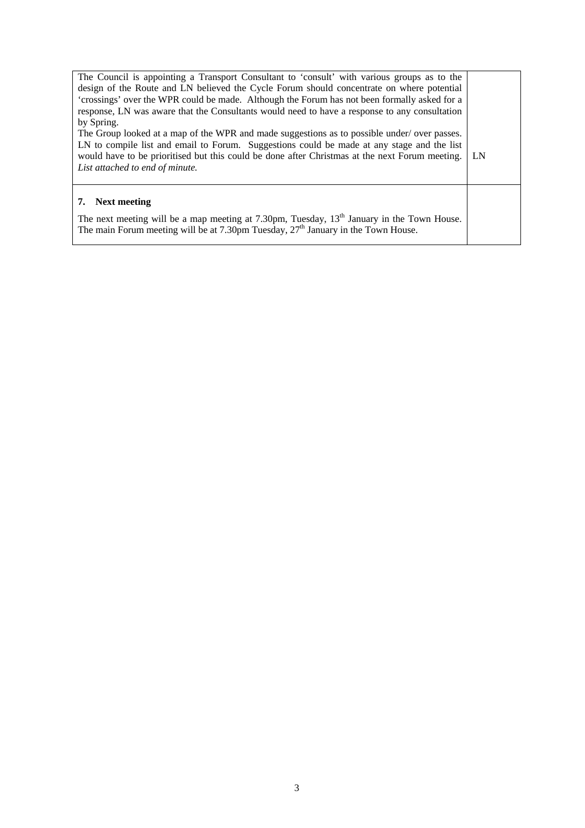| The Council is appointing a Transport Consultant to 'consult' with various groups as to the<br>design of the Route and LN believed the Cycle Forum should concentrate on where potential<br>'crossings' over the WPR could be made. Although the Forum has not been formally asked for a<br>response, LN was aware that the Consultants would need to have a response to any consultation<br>by Spring.<br>The Group looked at a map of the WPR and made suggestions as to possible under/ over passes.<br>LN to compile list and email to Forum. Suggestions could be made at any stage and the list<br>would have to be prioritised but this could be done after Christmas at the next Forum meeting. | LN |
|---------------------------------------------------------------------------------------------------------------------------------------------------------------------------------------------------------------------------------------------------------------------------------------------------------------------------------------------------------------------------------------------------------------------------------------------------------------------------------------------------------------------------------------------------------------------------------------------------------------------------------------------------------------------------------------------------------|----|
| List attached to end of minute.<br>7. Next meeting<br>The next meeting will be a map meeting at 7.30pm, Tuesday, 13 <sup>th</sup> January in the Town House.<br>The main Forum meeting will be at 7.30pm Tuesday, $27th$ January in the Town House.                                                                                                                                                                                                                                                                                                                                                                                                                                                     |    |